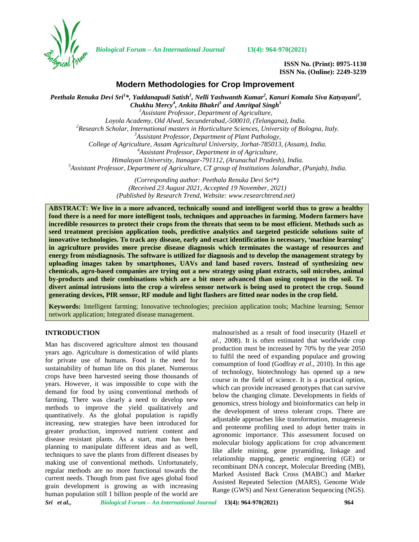

*Biological Forum – An International Journal* **13(4): 964-970(2021)**

**ISSN No. (Print): 0975-1130 ISSN No. (Online): 2249-3239**

## **Modern Methodologies for Crop Improvement**

*Peethala Renuka Devi Sri<sup>1</sup>\*, Yaddanapudi Satish<sup>1</sup> , Nelli Yashwanth Kumar<sup>2</sup> , Kanuri Komala Siva Katyayani<sup>3</sup> , Chukhu Mercy<sup>4</sup> , Ankita Bhakri<sup>5</sup> and Amritpal Singh<sup>5</sup> <sup>1</sup>Assistant Professor, Department of Agriculture,* Loyola Academy, Old Alwal, Secunderabad, 500010, (Telangana), India.<br><sup>2</sup> Research Scholar, International masters in Horticulture Sciences, University of Bologna, Italy.<br><sup>3</sup> Assistant Professor, Department of Plant Patholog *College of Agriculture, Assam Agricultural University, Jorhat-785013, (Assam), India. <sup>4</sup>Assistant Professor, Department in of Agriculture, Himalayan University, Itanagar-791112, (Arunachal Pradesh), India. <sup>5</sup>Assistant Professor, Department of Agriculture, CT group of Institutions Jalandhar, (Punjab), India. (Corresponding author: Peethala Renuka Devi Sri\*)*

*(Received 23 August 2021, Accepted 19 November, 2021) (Published by Research Trend, Website: [www.researchtrend.net\)](www.researchtrend.net)*

**ABSTRACT: We live in a more advanced, technically sound and intelligent world thus to grow a healthy food there is a need for more intelligent tools, techniques and approaches in farming. Modern farmers have incredible resources to protect their crops from the threats that seem to be most efficient. Methods such as seed treatment precision application tools, predictive analytics and targeted pesticide solutions suite of innovative technologies. To track any disease, early and exact identification is necessary, 'machine learning' in agriculture provides more precise disease diagnosis which terminates the wastage of resources and energy from misdiagnosis. The software is utilized for diagnosis and to develop the management strategy by uploading images taken by smartphones, UAVs and land based rovers. Instead of synthesizing new chemicals, agro-based companies are trying out a new strategy using plant extracts, soil microbes, animal by-products and their combinations which are a bit more advanced than using compost in the soil. To divert animal intrusions into the crop a wireless sensor network is being used to protect the crop. Sound generating devices, PIR sensor, RF module and light flashers are fitted near nodes in the crop field.**

**Keywords:** Intelligent farming; Innovative technologies; precision application tools; Machine learning; Sensor network application; Integrated disease management.

## **INTRODUCTION**

Man has discovered agriculture almost ten thousand years ago. Agriculture is domestication of wild plants for private use of humans. Food is the need for sustainability of human life on this planet. Numerous crops have been harvested seeing those thousands of years. However, it was impossible to cope with the demand for food by using conventional methods of farming. There was clearly a need to develop new methods to improve the yield qualitatively and quantitatively. As the global population is rapidly increasing, new strategies have been introduced for greater production, improved nutrient content and disease resistant plants. As a start, man has been planning to manipulate different ideas and as well, techniques to save the plants from different diseases by making use of conventional methods. Unfortunately, regular methods are no more functional towards the current needs. Though from past five ages global food grain development is growing as with increasing human population still 1 billion people of the world are

malnourished as a result of food insecurity (Hazell *et al.*, 2008). It is often estimated that worldwide crop production must be increased by 70% by the year 2050 to fulfil the need of expanding populace and growing consumption of food (Godfray *et al*., 2010). In this age of technology, biotechnology has opened up a new course in the field of science. It is a practical option, which can provide increased genotypes that can survive below the changing climate. Developments in fields of genomics, stress biology and bioinformatics can help in the development of stress tolerant crops. There are adjustable approaches like transformation, mutagenesis and proteome profiling used to adopt better traits in agronomic importance. This assessment focused on molecular biology applications for crop advancement like allele mining, gene pyramiding, linkage and relationship mapping, genetic engineering (GE) or recombinant DNA concept, Molecular Breeding (MB), Marked Assisted Back Cross (MABC) and Marker Assisted Repeated Selection (MARS), Genome Wide Range (GWS) and Next Generation Sequencing (NGS).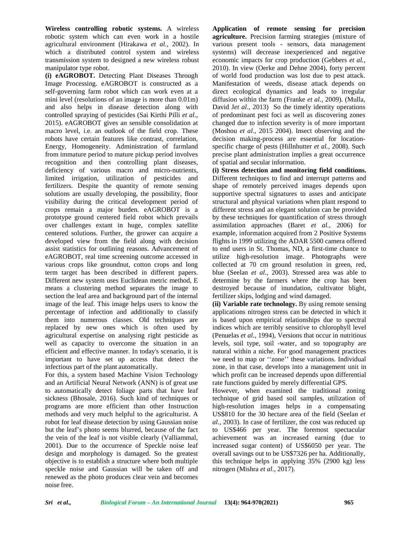**Wireless controlling robotic systems.** A wireless robotic system which can even work in a hostile agricultural environment (Hirakawa *et al.,* 2002). In which a distributed control system and wireless transmission system to designed a new wireless robust manipulator type robot.

**(i) eAGROBOT.** Detecting Plant Diseases Through Image Processing. eAGROBOT is constructed as a self-governing farm robot which can work even at a mini level (resolutions of an image is more than 0.01m) and also helps in disease detection along with controlled spraying of pesticides (Sai Kirthi Pilli *et al*., 2015). eAGROBOT gives an sensible consolidation at macro level, i.e. an outlook of the field crop. These robots have certain features like contrast, correlation, Energy, Homogeneity. Administration of farmland from immature period to mature pickup period involves recognition and then controlling plant diseases, deficiency of various macro and micro-nutrients, limited irrigation, utilization of pesticides and fertilizers. Despite the quantity of remote sensing solutions are usually developing, the possibility, floor visibility during the critical development period of crops remain a major burden. eAGROBOT is a prototype ground centered field robot which prevails over challenges extant in huge, complex satellite centered solutions. Further, the grower can acquire a developed view from the field along with decision assist statistics for outlining reasons. Advancement of eAGROBOT, real time screening outcome accessed in various crops like groundnut, cotton crops and long term target has been described in different papers. Different new system uses Euclidean metric method, E means a clustering method separates the image to section the leaf area and background part of the internal image of the leaf. This image helps users to know the percentage of infection and additionally to classify them into numerous classes. Old techniques are replaced by new ones which is often used by agricultural expertise on analysing right pesticide as well as capacity to overcome the situation in an efficient and effective manner. In today's scenario, it is important to have set up access that detect the infectious part of the plant automatically.

For this, a system based Machine Vision Technology and an Artificial Neural Network (ANN) is of great use to automatically detect foliage parts that have leaf sickness (Bhosale, 2016). Such kind of techniques or programs are more efficient than other Instruction methods and very much helpful to the agriculturist. A robot for leaf disease detection by using Gaussian noise but the leaf's photo seems blurred, because of the fact the vein of the leaf is not visible clearly (Valliammal, 2001). Due to the occurrence of Speckle noise leaf design and morphology is damaged. So the greatest objective is to establish a structure where both multiple speckle noise and Gaussian will be taken off and renewed as the photo produces clear vein and becomes noise free.

**Application of remote sensing for precision agriculture.** Precision farming strategies (mixture of various present tools - sensors, data management systems) will decrease inexperienced and negative economic impacts for crop production (Gebbers *et al.,* 2010). In view (Oerke and Dehne 2004), forty percent of world food production was lost due to pest attack. Manifestation of weeds, disease attack depends on direct ecological dynamics and leads to irregular diffusion within the farm (Franke *et al.,* 2009). (Mulla, David Jet al., 2013) So the timely identity operations of predominant pest foci as well as discovering zones changed due to infection severity is of more important (Moshou *et al*., 2015 2004). Insect observing and the decision making-process are essential for location specific charge of pests (Hillnhutter *et al.,* 2008). Such precise plant administration implies a great occurrence of spatial and secular information.

**(i) Stress detection and monitoring field conditions.** Different techniques to find and interrupt patterns and shape of remotely perceived images depends upon supportive spectral signatures to asses and anticipate structural and physical variations when plant respond to different stress and an elegant solution can be provided by these techniques for quantification of stress through assimilation approaches (Baret *et al.,* 2006) for example, information acquired from 2 Positive Systems flights in 1999 utilizing the ADAR 5500 camera offered to end users in St. Thomas, ND, a first-time chance to utilize high-resolution image. Photographs were collected at 70 cm ground resolution in green, red, blue (Seelan *et al.,* 2003). Stressed area was able to determine by the farmers where the crop has been destroyed because of inundation, cultivator blight, fertilizer skips, lodging and wind damaged.

**(ii) Variable rate technology.** By using remote sensing applications nitrogen stress can be detected in which it is based upon empirical relationships due to spectral indices which are terribly sensitive to chlorophyll level (Penuelas *et al*., 1994), Versions that occur in nutritious levels, soil type, soil -water, and so topography are natural within a niche. For good management practices we need to map or ''zone'' these variations. Individual zone, in that case, develops into a management unit in which profit can be increased depends upon differential rate functions guided by merely differential GPS.

However, when examined the traditional zoning technique of grid based soil samples, utilization of high-resolution images helps in a compensating US\$810 for the 30 hectare area of the field (Seelan *et al.,* 2003). In case of fertilizer, the cost was reduced up to US\$466 per year. The foremost spectacular achievement was an increased earning (due to increased sugar content) of US\$6050 per year. The overall savings out to be US\$7326 per ha. Additionally, this technique helps in applying 35% (2900 kg) less nitrogen (Mishra *et al*., 2017).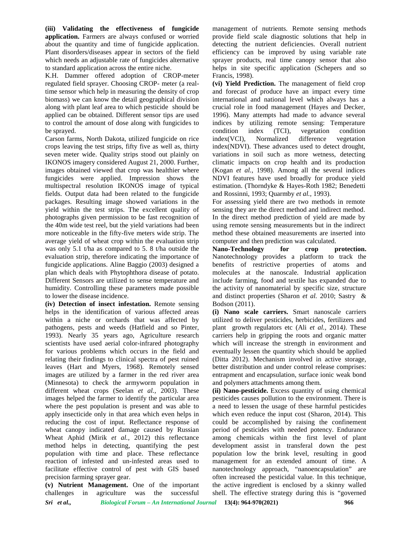**(iii) Validating the effectiveness of fungicide application.** Farmers are always confused or worried about the quantity and time of fungicide application. Plant disorders/diseases appear in sectors of the field which needs an adjustable rate of fungicides alternative to standard application across the entire niche.

K.H. Dammer offered adoption of CROP-meter regulated field sprayer. Choosing CROP- meter (a realtime sensor which help in measuring the density of crop biomass) we can know the detail geographical division along with plant leaf area to which pesticide should be applied can be obtained. Different sensor tips are used to control the amount of dose along with fungicides to be sprayed.

Carson farms, North Dakota, utilized fungicide on rice index (VCI), crops leaving the test strips, fifty five as well as, thirty seven meter wide. Quality strips stood out plainly on IKONOS imagery considered August 21, 2000. Further, images obtained viewed that crop was healthier where fungicides were applied. Impression shows the multispectral resolution IKONOS image of typical fields. Output data had been related to the fungicide packages. Resulting image showed variations in the yield within the test strips. The excellent quality of photographs given permission to be fast recognition of the 40m wide test reel, but the yield variations had been more noticeable in the fifty-five meters wide strip. The average yield of wheat crop within the evaluation strip was only 5.1 t/ha as compared to 5. 8 t/ha outside the evaluation strip, therefore indicating the importance of fungicide applications. Aline Baggio (2003) designed a plan which deals with Phytophthora disease of potato. Different Sensors are utilized to sense temperature and humidity. Controlling these parameters made possible to lower the disease incidence.

**(iv) Detection of insect infestation.** Remote sensing helps in the identification of various affected areas within a niche or orchards that was affected by pathogens, pests and weeds (Hatfield and so Pinter, 1993). Nearly 35 years ago, Agriculture research scientists have used aerial color-infrared photography for various problems which occurs in the field and relating their findings to clinical spectra of pest ruined leaves (Hart and Myers, 1968). Remotely sensed images are utilized by a farmer in the red river area (Minnesota) to check the armyworm population in different wheat crops (Seelan *et al.,* 2003). These images helped the farmer to identify the particular area where the pest population is present and was able to apply insecticide only in that area which even helps in reducing the cost of input. Reflectance response of wheat canopy indicated damage caused by Russian Wheat Aphid (Mirik *et al.,* 2012) this reflectance method helps in detecting, quantifying the pest population with time and place. These reflectance reaction of infested and un-infested areas used to facilitate effective control of pest with GIS based precision farming sprayer gear.

*Sri et al., Biological Forum – An International Journal* **13(4): 964-970(2021) 966 (v) Nutrient Management.** One of the important challenges in agriculture was the successful

management of nutrients. Remote sensing methods provide field scale diagnostic solutions that help in detecting the nutrient deficiencies. Overall nutrient efficiency can be improved by using variable rate sprayer products, real time canopy sensor that also helps in site specific application (Schepers and so Francis, 1998).

**(vi) Yield Prediction.** The management of field crop and forecast of produce have an impact every time international and national level which always has a crucial role in food management (Hayes and Decker, 1996). Many attempts had made to advance several indices by utilizing remote sensing: Temperature condition index (TCI), vegetation condition Normalized difference vegetation index(NDVI). These advances used to detect drought, variations in soil such as more wetness, detecting climatic impacts on crop health and its production (Kogan *et al.,* 1998). Among all the several indices NDVI features have used broadly for produce yield estimation. (Thorndyke & Hayes-Roth 1982; Benedetti and Rossinni, 1993; Quarmby *et al.,* 1993).

For assessing yield there are two methods in remote sensing they are the direct method and indirect method. In the direct method prediction of yield are made by using remote sensing measurements but in the indirect method these obtained measurements are inserted into computer and then prediction was calculated.

**Nano-Technology for crop protection.** Nanotechnology provides a platform to track the benefits of restrictive properties of atoms and molecules at the nanoscale. Industrial application include farming, food and textile has expanded due to the activity of nanomaterial by specific size, structure and distinct properties (Sharon *et al.* 2010; Sastry & Bodson (2011).

**(i) Nano scale carriers.** Smart nanoscale carriers utilized to deliver pesticides, herbicides, fertilizers and plant growth regulators etc (Ali *et al.,* 2014*)*. These carriers help in gripping the roots and organic matter which will increase the strength in environment and eventually lessen the quantity which should be applied (Ditta 2012). Mechanism involved in active storage, better distribution and under control release comprises: entrapment and encapsulation, surface ionic weak bond and polymers attachments among them.

**(ii) Nano-pesticide.** Excess quantity of using chemical pesticides causes pollution to the environment. There is a need to lessen the usage of these harmful pesticides which even reduce the input cost (Sharon, 2014). This could be accomplished by raising the confinement period of pesticides with needed potency. Endurance among chemicals within the first level of plant development assist in transferal down the pest population low the brink level, resulting in good management for an extended amount of time. A nanotechnology approach, "nanoencapsulation" are often increased the pesticidal value. In this technique, the active ingredient is enclosed by a skinny walled shell. The effective strategy during this is "governed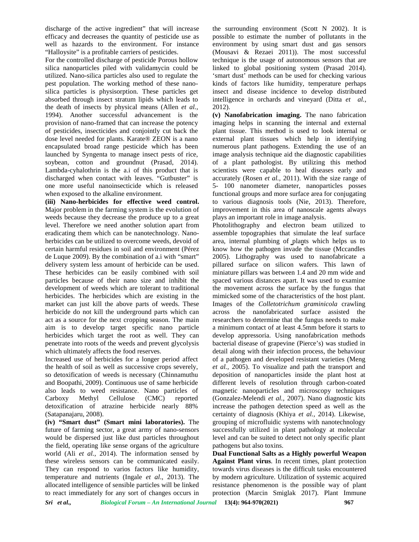discharge of the active ingredient" that will increase efficacy and decreases the quantity of pesticide use as efficacy and decreases the quantity of pesticide use as poss<br>well as hazards to the environment. For instance env "Halloysite" is a profitable carriers of pesticides.

For the controlled discharge of pesticide Porous hollow silica nanoparticles piled with validamycin could be utilized. Nano-silica particles also used to regulate the pest population. The working method of these nano silica particles is physisorption. These particles get absorbed through insect stratum lipids which leads to the death of insects by physical means (Allen *et al.,* 1994). Another successful advancement is the provision of nano-framed that can increase the potency of pesticides, insecticides and conjointly cut back the dose level needed for plants. Karate® ZEON is a nano encapsulated broad range pesticide which has been launched by Syngenta to manage insect pests of rice, soybean, cotton and groundnut (Prasad, 2014). Lambda-cyhalothrin is the a.i of this product that is discharged when contact with leaves. "Gutbuster" is a one more useful nanoinsecticide which is released one more useful nanoinsecticide which is when exposed to the alkaline environment. For the controlled discharge of pesticide Porous hollow<br>silica nanoparticles piled with validamycin could be<br>utilized. Nano-silica particles also used to regulate the<br>pest population. The working method of these nano-<br>sili

**(iii) Nano-herbicides for effective weed control. Nano-herbicides** Major problem in the farming system is the evolution of weeds because they decrease the produce up to a great level. Therefore we need another solution apart from eradicating them which can be nanotechnology. Nano herbicides can be utilized to overcome weeds, devoid of certain harmful residues in soil and environment (Pérez de Luque 2009). By the combination of a.i with "smart"  $200$ delivery system less amount of herbicide can be used. These herbicides can be easily combined with soil particles because of their nano size and inhibit the development of weeds which are tolerant to traditional herbicides. The herbicides which are existing in the market can just kill the above parts of weeds. These herbicide do not kill the underground parts which can act as a source for the next cropping season. The main aim is to develop target specific nano particle herbicides which target the root as well. They can penetrate into roots of the weeds and prevent glycolysis which ultimately affects the food reserves. Major problem in the farming system is the evolution of imp<br>weeds because they decrease the produce up to a great pla<br>level. Therefore we need another solution apart from Pho<br>eradicating them which can be nanotechnology. N system less amount of herbicide can be used. pill<br>erbicides can be easily combined with soil min<br>because of their nano size and inhibit the spa<br>ent of weeds which are tolerant to traditional the<br>s. The herbicides which are market can just kill the above parts of weeds. These Imagnetherbicide do not kill the underground parts which can acro<br>act as a source for the next cropping season. The main resear<br>aim is to develop target specific nano pa

Increased use of herbicides for a longer period affect the health of soil as well as successive crops severely, penetrate into roots of the weeds and prevent glycolysis bact<br>which ultimately affects the food reserves. Uncreased use of herbicides for a longer period affect of a<br>the health of soil as well as successive crops severely, and Boopathi, 2009). Continuous use of same herbicide also leads to weed resistance. Nano particles of Carboxy Methyl Cellulose (CMC) reported detoxification of atrazine herbicide nearly 88% (Satapanajaru, 2008). and Boopathi, 2009). Continuous use of same her<br>also leads to weed resistance. Nano particl<br>Carboxy Methyl Cellulose (CMC) re<br>detoxification of atrazine herbicide nearly<br>(Satapanajaru, 2008).

**(iv) "Smart dust" (Smart mini laboratories).** The **(iv)** future of farming sector, a great army of nano-sensors future of farming sector, a great army of nano-sensors<br>would be dispersed just like dust particles throughout the field, operating like sense organs of the agriculture world (Ali *et al.*, 2014). The information sensed by **Dua** these wireless sensors can be communicated easily. They can respond to varios factors like humidity, temperature and nutrients (Ingale *et al*., 2013). The allocated intelligence of sensible particles will be linked to react immediately for any sort of changes occurs in wireless sensors can be communicated easily. Ag can respond to varios factors like humidity, tow<br>ature and nutrients (Ingale *et al.*, 2013). The by

the surrounding environment (Scott N 2002). It is possible to estimate the number of pollutants in the environment by using smart dust and gas sensors (Mousavi & Rezaei 2011)). The most successful technique is the usage of autonomous sensors that are linked to global positioning system (Prasad 2014). 'smart dust' methods can be used for checking various kinds of factors like humidity, temperature perhaps insect and disease incidence to develop distributed intelligence in orchards and vineyard (Ditta *et al.,* 2012).

**(v) Nanofabrication imaging.** The nano fabrication imaging helps in scanning the internal and external plant tissue. This method is used to look internal or external plant tissues which help in identifying numerous plant pathogens. Extending the use of an image analysis technique aid the diagnostic capabilities of a plant pathologist. By utilizing this method scientists were capable to heal diseases early and accurately (Rosen *et al.,* 2011). With the size range of 5- 100 nanometer diameter, nanoparticles posses functional groups and more surface area for conjugating to various diagnosis tools (Nie, 2013). Therefore, improvement in this area of nanoscale agents always plays an important role in image analysis.

Photolithography and electron beam utilized to assemble topographies that simulate the leaf surface area, internal plumbing of plants which helps us to know how the pathogen invade the tissue (Mccandles 2005). Lithography was used to nanofabricate a pillared surface on silicon wafers. This lawn of miniature pillars was between 1.4 and 20 mm wide and spaced various distances apart. It was used to examine the movement across the surface by the fungus that mimicked some of the characteristics of the host plant. Images of the *Colletotrichum graminicola* crawling across the nanofabricated surface assisted the researchers to determine that the fungus needs to make a minimum contact of at least 4.5mm before it starts to develop appressoria. Using nanofabrication methods bacterial disease of grapevine (Pierce's) was studied in detail along with their infection process, the behaviour detail along with their infection process, the behaviour<br>of a pathogen and developed resistant varieties (Meng *et al.,* 2005). To visualize and path the transport and deposition of nanoparticles inside the plant host at deposition of nanoparticles inside the plant host at different levels of resolution through carbon-coated magnetic nanoparticles and microscopy techniques (Gonzalez-Melendi *et al.,* 2007). Nano diagnostic kits increase the pathogen detection speed as well as the (Gonzalez-Melendi *et al.*, 2007). Nano diagnostic kits<br>increase the pathogen detection speed as well as the<br>certainty of diagnosis (Khiya *et al.*, 2014). Likewise, grouping of microfluidic systems with nanotechnology successfully utilized in plant pathology at molecular level and can be suited to detect not only specific plant pathogens but also toxins. active interded with linearces the survanting critical red interded with the same of the survey in the same of the same of the same of the same of the same of the same of the same of the same of the same of the same of the s of the active inpublee from the material and the numeralling enformed than N. 2002, his change of the specific the specific contains the specific state of the specific contains of positive or change in the specific stat know how the pathogen invade the tissue (Mccandles 2005). Lithography was used to nanofabricate a pillared surface on silicon wafers. This lawn of miniature pillars was between 1.4 and 20 mm wide and spaced various distanc a minimum contact of at least 4.5mm before it starts to<br>develop appressoria. Using nanofabrication methods<br>bacterial disease of grapevine (Pierce's) was studied in successfully utilized in plant pathology<br>level and can be suited to detect not only<br>pathogens but also toxins. blem in the farming system is the covolution of improvement in this area of nanosed agents always<br>stance they decrease the product operation aper from Photoihidepraphy and electron beam utilized to the<br>encountered the anal

**Dual Functional Salts as a Highly powerful Weapon Against Plant virus**. In recent times, plant protection towards virus diseases is the difficult tasks encountered by modern agriculture. Utilization of systemic acquired resistance phenomenon is the possible way of plant protection (Marcin Smiglak 2017). Plant Immune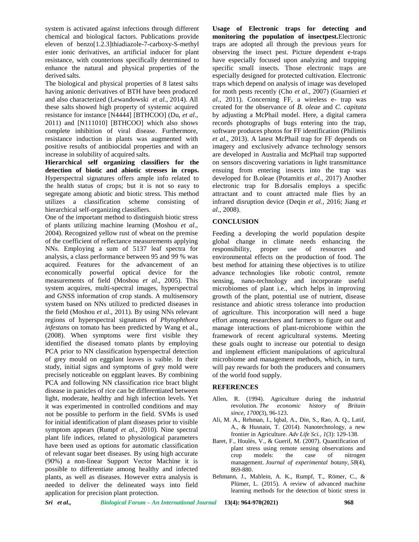system is activated against infections through different chemical and biological factors. Publications provide eleven of benzo[1.2.3]thiadiazole-7-carboxy-S-methyl ester ionic derivatives, an artificial inducer for plant resistance, with counterions specifically determined to enhance the natural and physical properties of the derived salts.

The biological and physical properties of 8 latest salts having anionic derivatives of BTH have been produced and also characterized (Lewandowski *et al.,* 2014). All these salts showed high property of systemic acquired resistance for instance [N4444] [BTHCOO] (Du, *et al*., 2011) and [N111010] [BTHCOO] which also shows complete inhibition of viral disease. Furthermore, resistance induction in plants was augmented with positive results of antibiocidal properties and with an increase in solubility of acquired salts.

**Hierarchical self organizing classifiers for the detection of biotic and abiotic stresses in crops.** Hyperspectral signatures offers ample info related to the health status of crops; but it is not so easy to segregate among abiotic and biotic stress. This method utilizes a classification scheme consisting of hierarchical self-organizing classifiers.

One of the important method to distinguish biotic stress of plants utilizing machine learning (Moshou *et al*., 2004). Recognized yellow rust of wheat on the premise of the coefficient of reflectance measurements applying NNs. Employing a sum of 5137 leaf spectra for responsibility, analysis, a class performance between 95 and 99 % was acquired. Features for the advancement of an economically powerful optical device for the measurements of field (Moshou *et al*., 2005). This system acquires, multi-spectral images, hyperspectral and GNSS information of crop stands. A multisensory system based on NNs utilized to predicted diseases in the field (Moshou *et al*., 2011). By using NNs relevant regions of hyperspectral signatures of *Phytophthora infestans* on tomato has been predicted by Wang et al., (2008). When symptoms were first visible they identified the diseased tomato plants by employing PCA prior to NN classification hyperspectral detection of grey mould on eggplant leaves is vaible. In their study, initial signs and symptoms of grey mold were precisely noticeable on eggplant leaves. By combining PCA and following NN classification rice bract blight disease in panicles of rice can be differentiated between light, moderate, healthy and high infection levels. Yet it was experimented in controlled conditions and may not be possible to perform in the field. SVMs is used for initial identification of plant diseases prior to visible symptom appears (Rumpf *et al.,* 2010). Nine spectral plant life indices, related to physiological parameters have been used as options for automatic classification of relevant sugar beet diseases. By using high accurate (90%) a non-linear Support Vector Machine it is possible to differentiate among healthy and infected plants, as well as diseases. However extra analysis is needed to deliver the delineated ways into field application for precision plant protection.

**Usage of Electronic traps for detecting and monitoring the population of insectpest.**Electronic traps are adopted all through the previous years for observing the insect pest. Picture dependent e-traps have especially focused upon analyzing and trapping specific small insects. Those electronic traps are especially designed for protected cultivation. Electronic traps which depend on analysis of image was developed for moth pests recently (Cho *et al*., 2007) (Guarnieri *et al.,* 2011). Concerning FF, a wireless e- trap was created for the observance of *B. oleae* and *C. capitata* by adjusting a McPhail model. Here, a digital camera records photographs of bugs entering into the trap, software produces photos for FF identification (Philimis *et al*., 2013). A latest McPhail trap for FF depends on imagery and exclusively advance technology sensors are developed in Australia and McPhail trap supported on sensors discovering variations in light transmittance ensuing from entering insects into the trap was developed for B.oleae (Potamitis *et al.,* 2017) Another electronic trap for B.dorsalis employs a specific attractant and to count attracted male flies by an infrared disruption device (Deqin *et al.,* 2016; Jiang *et al.,* 2008).

## **CONCLUSION**

Feeding a developing the world population despite global change in climate needs enhancing the proper use of resources and environmental effects on the production of food. The best method for attaining these objectives is to utilize advance technologies like robotic control, remote sensing, nano-technology and incorporate useful microbiomes of plant i.e., which helps in improving growth of the plant, potential use of nutrient, disease resistance and abiotic stress tolerance into production of agriculture. This incorporation will need a huge effort among researchers and farmers to figure out and manage interactions of plant-microbiome within the framework of recent agricultural systems. Meeting these goals ought to increase our potential to design and implement efficient manipulations of agricultural microbiome and management methods, which, in turn, will pay rewards for both the producers and consumers of the world food supply.

## **REFERENCES**

- Allen, R. (1994). Agriculture during the industrial revolution. *The economic history of Britain since*, *1700*(3), 96-123.
- Ali, M. A., Rehman, I., Iqbal, A., Din, S., Rao, A. Q., Latif, A., & Husnain, T. (2014). Nanotechnology, a new frontier in Agriculture. *Adv Life Sci.*, *1*(3): 129-138.
- Baret, F., Houlès, V., & Guerif, M. (2007). Quantification of plant stress using remote sensing observations and<br>crop models: the case of nitrogen crop models: the case of nitrogen management. *Journal of experimental botany*, *58*(4), 869-880.
- Behmann, J., Mahlein, A. K., Rumpf, T., Römer, C., & Plümer, L. (2015). A review of advanced machine learning methods for the detection of biotic stress in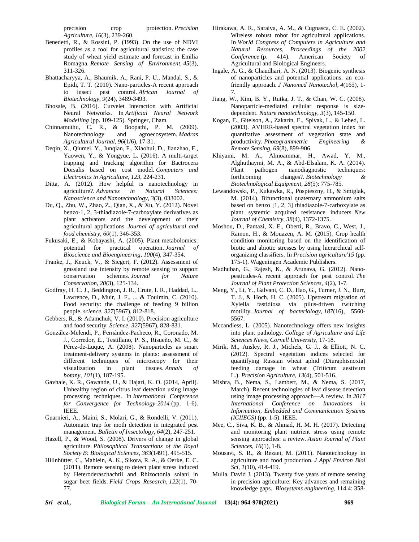precision crop protection. *Precision Agriculture*, *16*(3), 239-260.

- Benedetti, R., & Rossini, P. (1993). On the use of NDVI profiles as a tool for agricultural statistics: the case study of wheat yield estimate and forecast in Emilia Romagna. *Remote Sensing of Environment*, *45*(3), 311-326.
- Bhattacharyya, A., Bhaumik, A., Rani, P. U., Mandal, S., & Epidi, T. T. (2010). Nano-particles-A recent approach to insect pest control. *African Journal of Biotechnology*, *9*(24), 3489-3493.
- Bhosale, B. (2016). Curvelet Interaction with Artificial Neural Networks. In *Artificial Neural Network Modelling* (pp. 109-125). Springer, Cham.
- Chinnamuthu, C. R., & Boopathi, P. M. (2009). Nanotechnology and agroecosystem. *Madras Agricultural Journal*, *96*(1/6), 17-31.
- Deqin, X., Qiumei, Y., Junqian, F., Xiaohui, D., Jianzhao, F., Yaowen, Y., & Yongyue, L. (2016). A multi-target trapping and tracking algorithm for Bactrocera Dorsalis based on cost model. *Computers and Electronics in Agriculture*, *123*, 224-231.
- Ditta, A. (2012). How helpful is nanotechnology in agriculture?. *Advances in Natural Sciences: Nanoscience and Nanotechnology*, *3*(3), 033002.
- Du, Q., Zhu, W., Zhao, Z., Qian, X., & Xu, Y. (2012). Novel benzo-1, 2, 3-thiadiazole-7-carboxylate derivatives as plant activators and the development of their agricultural applications. *Journal of agricultural and food chemistry*, *60*(1), 346-353.
- Fukusaki, E., & Kobayashi, A. (2005). Plant metabolomics:<br>potential for practical operation. Journal of potential for practical operation. *Journal of Bioscience and Bioengineering*, *100*(4), 347-354.
- Franke, J., Keuck, V., & Siegert, F. (2012). Assessment of grassland use intensity by remote sensing to support conservation schemes. *Journal for Nature Conservation*, *20*(3), 125-134.
- Godfray, H. C. J., Beddington, J. R., Crute, I. R., Haddad, L., Lawrence, D., Muir, J. F., ... & Toulmin, C. (2010). Food security: the challenge of feeding 9 billion people. *science*, *327*(5967), 812-818.
- Gebbers, R., & Adamchuk, V. I. (2010). Precision agriculture and food security. *Science*, *327*(5967), 828-831.
- González-Melendi, P., Fernández-Pacheco, R., Coronado, M. J., Corredor, E., Testillano, P. S., Risueño, M. C., & Pérez-de-Luque, A. (2008). Nanoparticles as smart treatment-delivery systems in plants: assessment of different techniques of microscopy for their visualization in plant tissues. *Annals botany*, *101*(1), 187-195.
- Gavhale, K. R., Gawande, U., & Hajari, K. O. (2014, April). Unhealthy region of citrus leaf detection using image processing techniques. In *International Conference for Convergence for Technology-2014* (pp. 1-6). IEEE.
- Guarnieri, A., Maini, S., Molari, G., & Rondelli, V. (2011). Automatic trap for moth detection in integrated pest management. *Bulletin of Insectology*, *64*(2), 247-251.
- Hazell, P., & Wood, S. (2008). Drivers of change in global agriculture. *Philosophical Transactions of the Royal Society B: Biological Sciences*, *363*(1491), 495-515.
- Hillnhütter, C., Mahlein, A. K., Sikora, R. A., & Oerke, E. C. (2011). Remote sensing to detect plant stress induced by Heteroderaschachtii and Rhizoctonia solani in sugar beet fields. *Field Crops Research*, *122*(1), 70- 77.
- Hirakawa, A. R., Saraiva, A. M., & Cugnasca, C. E. (2002). Wireless robust robot for agricultural applications. In *World Congress of Computers in Agriculture and Natural Resources, Proceedings of the 2002 Conference* (p. 414). American Society of Agricultural and Biological Engineers.
- Ingale, A. G., & Chaudhari, A. N. (2013). Biogenic synthesis of nanoparticles and potential applications: an ecofriendly approach. *J Nanomed Nanotechol*, *4*(165), 1- 7.
- Jiang, W., Kim, B. Y., Rutka, J. T., & Chan, W. C. (2008). Nanoparticle-mediated cellular response is size dependent. *Nature nanotechnology*, *3*(3), 145-150.
- Kogan, F., Gitelson, A., Zakarin, E., Spivak, L., & Lebed, L. (2003). AVHRR-based spectral vegetation index for quantitative assessment of vegetation state and productivity. *Photogrammetric Engineering & Remote Sensing*, *69*(8), 899-906.
- Khiyami, M. A., Almoammar, H., Awad, Y. M., Alghuthaymi, M. A., & Abd-Elsalam, K. A. (2014). Plant pathogen nanodiagnostic techniques: forthcoming changes?. *Biotechnology & Biotechnological Equipment*, *28*(5): 775-785.
- Lewandowski, P., Kukawka, R., Pospieszny, H., & Smiglak, M. (2014). Bifunctional quaternary ammonium salts based on benzo [1, 2, 3] thiadiazole-7-carboxylate as plant systemic acquired resistance inducers. *New Journal of Chemistry*, *38*(4), 1372-1375.
- Moshou, D., Pantazi, X. E., Oberti, R., Bravo, C., West, J., Ramon, H., & Mouazen, A. M. (2015). Crop health condition monitoring based on the identification of biotic and abiotic stresses by using hierarchical self organizing classifiers. In *Precision agriculture'15* (pp. 175-1). Wageningen Academic Publishers.
- Madhuban, G., Rajesh, K., & Arunava, G. (2012). Nano pesticides-A recent approach for pest control. *The Journal of Plant Protection Sciences*, *4*(2), 1-7.
- Meng, Y., Li, Y., Galvani, C. D., Hao, G., Turner, J. N., Burr, T. J., & Hoch, H. C. (2005). Upstream migration of Xylella fastidiosa via pilus-driven twitching motility. *Journal of bacteriology*, *187*(16), 5560- 5567.
- Mccandless, L. (2005). Nanotechnology offers new insights into plant pathology. *College of Agriculture and Life Sciences News, Cornell University*, 17-18.
- Mirik, M., Ansley, R. J., Michels, G. J., & Elliott, N. C. (2012). Spectral vegetation indices selected for quantifying Russian wheat aphid (Diuraphisnoxia) feeding damage in wheat (Triticum aestivum L.). *Precision Agriculture*, *13*(4), 501-516.
- Mishra, B., Nema, S., Lambert, M., & Nema, S. (2017, March). Recent technologies of leaf disease detection using image processing approach—A review. In *2017 International Conference on Innovations in Information, Embedded and Communication Systems (ICIIECS)* (pp. 1-5). IEEE.
- Mee, C., Siva, K. B., & Ahmad, H. M. H. (2017). Detecting and monitoring plant nutrient stress using remote sensing approaches: a review. *Asian Journal of Plant Sciences*, *16*(1), 1-8.
- Mousavi, S. R., & Rezaei, M. (2011). Nanotechnology in agriculture and food production. *J Appl Environ Biol Sci*, *1*(10), 414-419.
- Mulla, David J. (2013). Twenty five years of remote sensing in precision agriculture: Key advances and remaining knowledge gaps. *Biosystems engineering,* 114.4: 358-